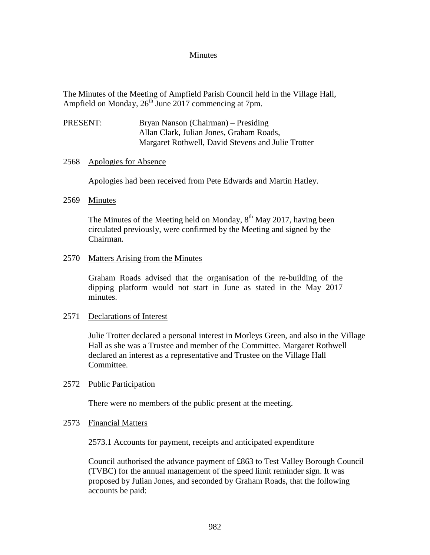### Minutes

The Minutes of the Meeting of Ampfield Parish Council held in the Village Hall, Ampfield on Monday,  $26<sup>th</sup>$  June 2017 commencing at 7pm.

PRESENT: Bryan Nanson (Chairman) – Presiding Allan Clark, Julian Jones, Graham Roads, Margaret Rothwell, David Stevens and Julie Trotter

### 2568 Apologies for Absence

Apologies had been received from Pete Edwards and Martin Hatley.

### 2569 Minutes

The Minutes of the Meeting held on Monday,  $8<sup>th</sup>$  May 2017, having been circulated previously, were confirmed by the Meeting and signed by the Chairman.

### 2570 Matters Arising from the Minutes

Graham Roads advised that the organisation of the re-building of the dipping platform would not start in June as stated in the May 2017 minutes.

### 2571 Declarations of Interest

Julie Trotter declared a personal interest in Morleys Green, and also in the Village Hall as she was a Trustee and member of the Committee. Margaret Rothwell declared an interest as a representative and Trustee on the Village Hall Committee.

### 2572 Public Participation

There were no members of the public present at the meeting.

### 2573 Financial Matters

### 2573.1 Accounts for payment, receipts and anticipated expenditure

Council authorised the advance payment of £863 to Test Valley Borough Council (TVBC) for the annual management of the speed limit reminder sign. It was proposed by Julian Jones, and seconded by Graham Roads, that the following accounts be paid: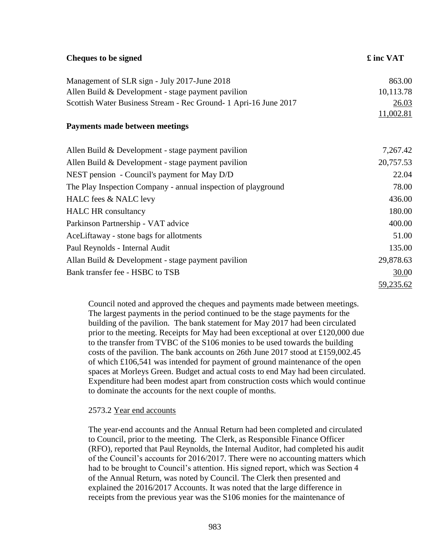| <b>Cheques to be signed</b>                                      | £ inc VAT |
|------------------------------------------------------------------|-----------|
| Management of SLR sign - July 2017-June 2018                     | 863.00    |
| Allen Build $& Development - stage payment\h$                    | 10,113.78 |
| Scottish Water Business Stream - Rec Ground- 1 Apri-16 June 2017 | 26.03     |
|                                                                  | 11,002.81 |
| <b>Payments made between meetings</b>                            |           |
| Allen Build & Development - stage payment pavilion               | 7,267.42  |
| Allen Build $& Development - stage payment\h$                    | 20,757.53 |
| NEST pension - Council's payment for May D/D                     | 22.04     |
| The Play Inspection Company - annual inspection of playground    | 78.00     |
| HALC fees & NALC levy                                            | 436.00    |
| <b>HALC HR</b> consultancy                                       | 180.00    |
| Parkinson Partnership - VAT advice                               | 400.00    |
| AceLiftaway - stone bags for allotments                          | 51.00     |
| Paul Reynolds - Internal Audit                                   | 135.00    |
| Allan Build $& Development - stage payment\h$                    | 29,878.63 |
| Bank transfer fee - HSBC to TSB                                  | 30.00     |
|                                                                  | 59,235.62 |

Council noted and approved the cheques and payments made between meetings. The largest payments in the period continued to be the stage payments for the building of the pavilion. The bank statement for May 2017 had been circulated prior to the meeting. Receipts for May had been exceptional at over £120,000 due to the transfer from TVBC of the S106 monies to be used towards the building costs of the pavilion. The bank accounts on 26th June 2017 stood at £159,002.45 of which £106,541 was intended for payment of ground maintenance of the open spaces at Morleys Green. Budget and actual costs to end May had been circulated. Expenditure had been modest apart from construction costs which would continue to dominate the accounts for the next couple of months.

## 2573.2 Year end accounts

The year-end accounts and the Annual Return had been completed and circulated to Council, prior to the meeting. The Clerk, as Responsible Finance Officer (RFO), reported that Paul Reynolds, the Internal Auditor, had completed his audit of the Council's accounts for 2016/2017. There were no accounting matters which had to be brought to Council's attention. His signed report, which was Section 4 of the Annual Return, was noted by Council. The Clerk then presented and explained the 2016/2017 Accounts. It was noted that the large difference in receipts from the previous year was the S106 monies for the maintenance of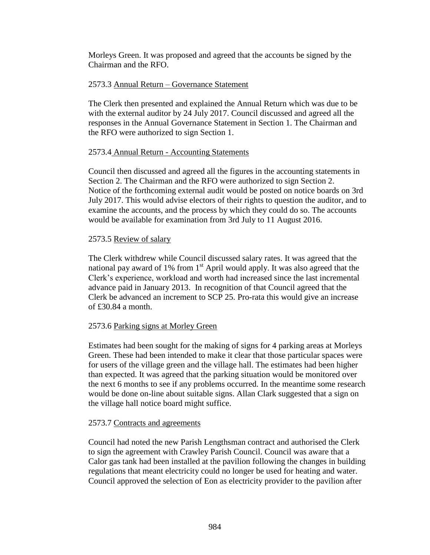Morleys Green. It was proposed and agreed that the accounts be signed by the Chairman and the RFO.

## 2573.3 Annual Return – Governance Statement

The Clerk then presented and explained the Annual Return which was due to be with the external auditor by 24 July 2017. Council discussed and agreed all the responses in the Annual Governance Statement in Section 1. The Chairman and the RFO were authorized to sign Section 1.

## 2573.4 Annual Return - Accounting Statements

Council then discussed and agreed all the figures in the accounting statements in Section 2. The Chairman and the RFO were authorized to sign Section 2. Notice of the forthcoming external audit would be posted on notice boards on 3rd July 2017. This would advise electors of their rights to question the auditor, and to examine the accounts, and the process by which they could do so. The accounts would be available for examination from 3rd July to 11 August 2016.

## 2573.5 Review of salary

The Clerk withdrew while Council discussed salary rates. It was agreed that the national pay award of 1% from  $1<sup>st</sup>$  April would apply. It was also agreed that the Clerk's experience, workload and worth had increased since the last incremental advance paid in January 2013. In recognition of that Council agreed that the Clerk be advanced an increment to SCP 25. Pro-rata this would give an increase of £30.84 a month.

# 2573.6 Parking signs at Morley Green

Estimates had been sought for the making of signs for 4 parking areas at Morleys Green. These had been intended to make it clear that those particular spaces were for users of the village green and the village hall. The estimates had been higher than expected. It was agreed that the parking situation would be monitored over the next 6 months to see if any problems occurred. In the meantime some research would be done on-line about suitable signs. Allan Clark suggested that a sign on the village hall notice board might suffice.

## 2573.7 Contracts and agreements

Council had noted the new Parish Lengthsman contract and authorised the Clerk to sign the agreement with Crawley Parish Council. Council was aware that a Calor gas tank had been installed at the pavilion following the changes in building regulations that meant electricity could no longer be used for heating and water. Council approved the selection of Eon as electricity provider to the pavilion after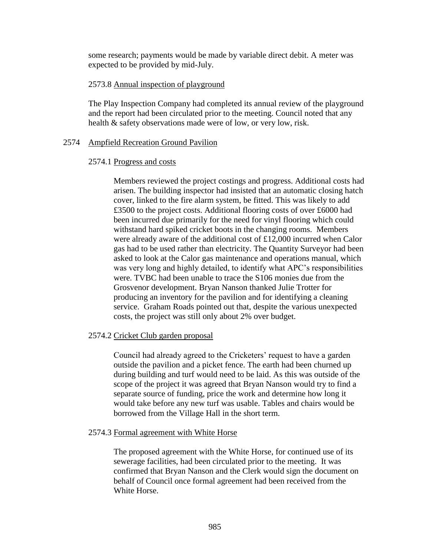some research; payments would be made by variable direct debit. A meter was expected to be provided by mid-July.

## 2573.8 Annual inspection of playground

The Play Inspection Company had completed its annual review of the playground and the report had been circulated prior to the meeting. Council noted that any health & safety observations made were of low, or very low, risk.

## 2574 Ampfield Recreation Ground Pavilion

## 2574.1 Progress and costs

Members reviewed the project costings and progress. Additional costs had arisen. The building inspector had insisted that an automatic closing hatch cover, linked to the fire alarm system, be fitted. This was likely to add £3500 to the project costs. Additional flooring costs of over £6000 had been incurred due primarily for the need for vinyl flooring which could withstand hard spiked cricket boots in the changing rooms. Members were already aware of the additional cost of £12,000 incurred when Calor gas had to be used rather than electricity. The Quantity Surveyor had been asked to look at the Calor gas maintenance and operations manual, which was very long and highly detailed, to identify what APC's responsibilities were. TVBC had been unable to trace the S106 monies due from the Grosvenor development. Bryan Nanson thanked Julie Trotter for producing an inventory for the pavilion and for identifying a cleaning service. Graham Roads pointed out that, despite the various unexpected costs, the project was still only about 2% over budget.

# 2574.2 Cricket Club garden proposal

Council had already agreed to the Cricketers' request to have a garden outside the pavilion and a picket fence. The earth had been churned up during building and turf would need to be laid. As this was outside of the scope of the project it was agreed that Bryan Nanson would try to find a separate source of funding, price the work and determine how long it would take before any new turf was usable. Tables and chairs would be borrowed from the Village Hall in the short term.

## 2574.3 Formal agreement with White Horse

The proposed agreement with the White Horse, for continued use of its sewerage facilities, had been circulated prior to the meeting. It was confirmed that Bryan Nanson and the Clerk would sign the document on behalf of Council once formal agreement had been received from the White Horse.